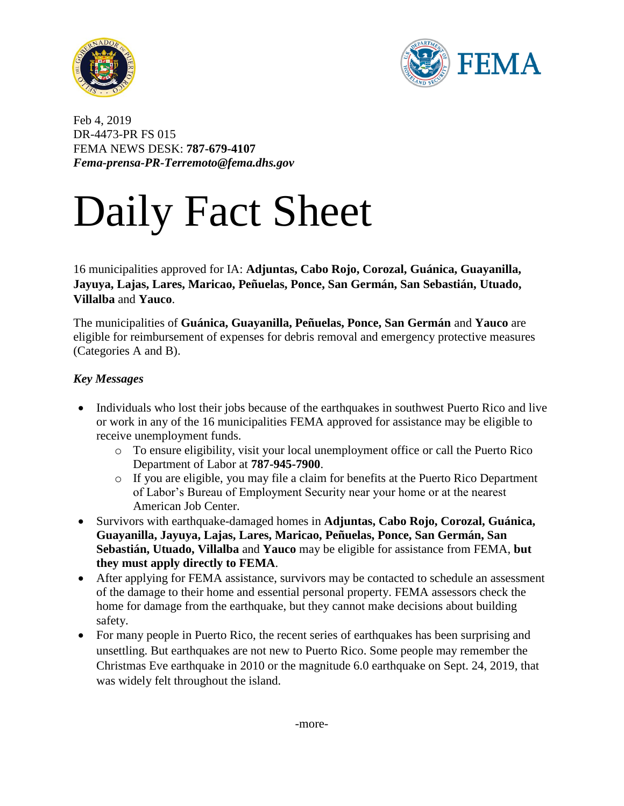



Feb 4, 2019 DR-4473-PR FS 015 FEMA NEWS DESK: **787-679-4107**  *Fema-prensa-PR-Terremoto@fema.dhs.gov*

# Daily Fact Sheet

16 municipalities approved for IA: **Adjuntas, Cabo Rojo, Corozal, Guánica, Guayanilla, Jayuya, Lajas, Lares, Maricao, Peñuelas, Ponce, San Germán, San Sebastián, Utuado, Villalba** and **Yauco**.

The municipalities of **Guánica, Guayanilla, Peñuelas, Ponce, San Germán** and **Yauco** are eligible for reimbursement of expenses for debris removal and emergency protective measures (Categories A and B).

## *Key Messages*

- Individuals who lost their jobs because of the earthquakes in southwest Puerto Rico and live or work in any of the 16 municipalities FEMA approved for assistance may be eligible to receive unemployment funds.
	- o To ensure eligibility, visit your local unemployment office or call the Puerto Rico Department of Labor at **787-945-7900**.
	- o If you are eligible, you may file a claim for benefits at the Puerto Rico Department of Labor's Bureau of Employment Security near your home or at the nearest American Job Center.
- Survivors with earthquake-damaged homes in **Adjuntas, Cabo Rojo, Corozal, Guánica, Guayanilla, Jayuya, Lajas, Lares, Maricao, Peñuelas, Ponce, San Germán, San Sebastián, Utuado, Villalba** and **Yauco** may be eligible for assistance from FEMA, **but they must apply directly to FEMA**.
- After applying for FEMA assistance, survivors may be contacted to schedule an assessment of the damage to their home and essential personal property. FEMA assessors check the home for damage from the earthquake, but they cannot make decisions about building safety.
- For many people in Puerto Rico, the recent series of earthquakes has been surprising and unsettling. But earthquakes are not new to Puerto Rico. Some people may remember the Christmas Eve earthquake in 2010 or the magnitude 6.0 earthquake on Sept. 24, 2019, that was widely felt throughout the island.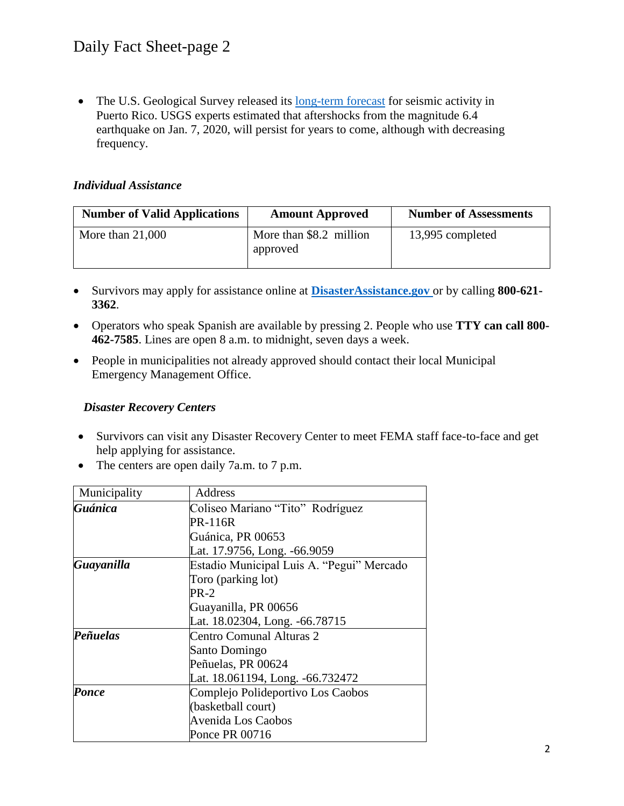• The U.S. Geological Survey released its [long-term forecast](https://www.usgs.gov/news/magnitude-64-earthquake-puerto-rico?utm_source=facebook&utm_medium=social&utm_term=269c282b-449f-4f67-8337-c4b625026d24&utm_content=&utm_campaign=pr-2020-forecast) for seismic activity in Puerto Rico. USGS experts estimated that aftershocks from the magnitude 6.4 earthquake on Jan. 7, 2020, will persist for years to come, although with decreasing frequency.

#### *Individual Assistance*

| <b>Number of Valid Applications</b> | <b>Amount Approved</b>              | <b>Number of Assessments</b> |
|-------------------------------------|-------------------------------------|------------------------------|
| More than $21,000$                  | More than \$8.2 million<br>approved | 13,995 completed             |

- Survivors may apply for assistance online at **[DisasterAssistance.gov](http://www.disasterassistance.gov/)** or by calling **800-621- 3362**.
- Operators who speak Spanish are available by pressing 2. People who use **TTY can call 800- 462-7585**. Lines are open 8 a.m. to midnight, seven days a week.
- People in municipalities not already approved should contact their local Municipal Emergency Management Office.

#### *Disaster Recovery Centers*

- Survivors can visit any Disaster Recovery Center to meet FEMA staff face-to-face and get help applying for assistance.
- The centers are open daily 7a.m. to 7 p.m.

| Municipality | Address                                   |
|--------------|-------------------------------------------|
| Guánica      | Coliseo Mariano "Tito" Rodríguez          |
|              | <b>PR-116R</b>                            |
|              | Guánica, PR 00653                         |
|              | Lat. 17.9756, Long. -66.9059              |
| Guayanilla   | Estadio Municipal Luis A. "Pegui" Mercado |
|              | Toro (parking lot)                        |
|              | $PR-2$                                    |
|              | Guayanilla, PR 00656                      |
|              | Lat. 18.02304, Long. -66.78715            |
| Peñuelas     | Centro Comunal Alturas 2                  |
|              | Santo Domingo                             |
|              | Peñuelas, PR 00624                        |
|              | Lat. 18.061194, Long. -66.732472          |
| Ponce        | Complejo Polideportivo Los Caobos         |
|              | (basketball court)                        |
|              | Avenida Los Caobos                        |
|              | Ponce PR 00716                            |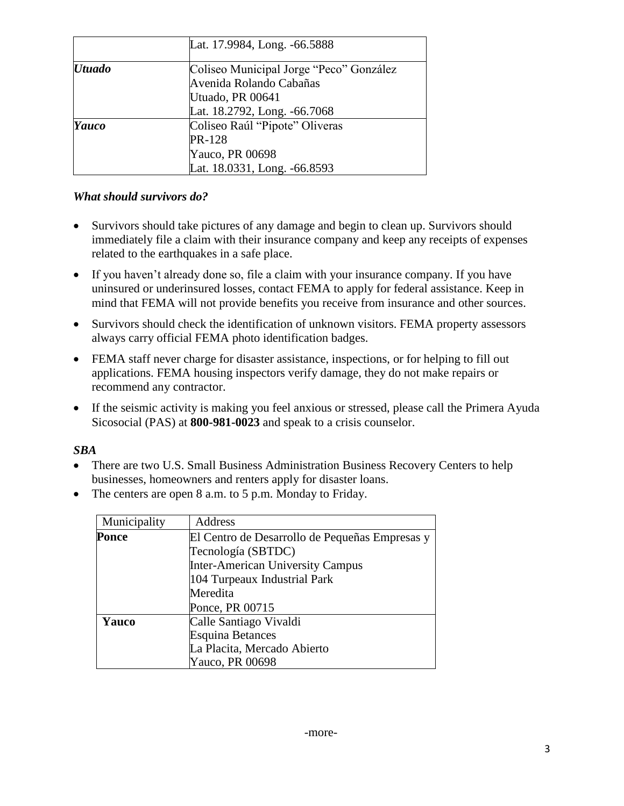|               | Lat. 17.9984, Long. -66.5888            |
|---------------|-----------------------------------------|
| <b>Utuado</b> | Coliseo Municipal Jorge "Peco" González |
|               | Avenida Rolando Cabañas                 |
|               | Utuado, PR 00641                        |
|               | Lat. 18.2792, Long. -66.7068            |
| Yauco         | Coliseo Raúl "Pipote" Oliveras          |
|               | <b>PR-128</b>                           |
|               | Yauco, PR 00698                         |
|               | Lat. 18.0331, Long. -66.8593            |

## *What should survivors do?*

- Survivors should take pictures of any damage and begin to clean up. Survivors should immediately file a claim with their insurance company and keep any receipts of expenses related to the earthquakes in a safe place.
- If you haven't already done so, file a claim with your insurance company. If you have uninsured or underinsured losses, contact FEMA to apply for federal assistance. Keep in mind that FEMA will not provide benefits you receive from insurance and other sources.
- Survivors should check the identification of unknown visitors. FEMA property assessors always carry official FEMA photo identification badges.
- FEMA staff never charge for disaster assistance, inspections, or for helping to fill out applications. FEMA housing inspectors verify damage, they do not make repairs or recommend any contractor.
- If the seismic activity is making you feel anxious or stressed, please call the Primera Ayuda Sicosocial (PAS) at **800-981-0023** and speak to a crisis counselor.

#### *SBA*

- There are two U.S. Small Business Administration Business Recovery Centers to help businesses, homeowners and renters apply for disaster loans.
- The centers are open 8 a.m. to 5 p.m. Monday to Friday.

| Municipality | Address                                        |
|--------------|------------------------------------------------|
| <b>Ponce</b> | El Centro de Desarrollo de Pequeñas Empresas y |
|              | Tecnología (SBTDC)                             |
|              | <b>Inter-American University Campus</b>        |
|              | 104 Turpeaux Industrial Park                   |
|              | Meredita                                       |
|              | Ponce, PR 00715                                |
| Yauco        | Calle Santiago Vivaldi                         |
|              | <b>Esquina Betances</b>                        |
|              | La Placita, Mercado Abierto                    |
|              | Yauco, PR 00698                                |